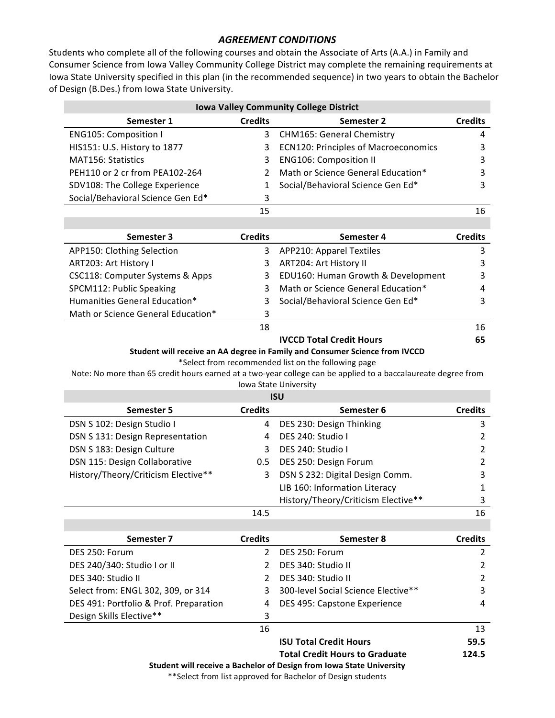## *AGREEMENT CONDITIONS*

Students who complete all of the following courses and obtain the Associate of Arts (A.A.) in Family and Consumer Science from Iowa Valley Community College District may complete the remaining requirements at Iowa State University specified in this plan (in the recommended sequence) in two years to obtain the Bachelor of Design (B.Des.) from Iowa State University.

| <b>Iowa Valley Community College District</b> |                |                                                                                                                                    |                |
|-----------------------------------------------|----------------|------------------------------------------------------------------------------------------------------------------------------------|----------------|
| Semester 1                                    | <b>Credits</b> | Semester 2                                                                                                                         | <b>Credits</b> |
| <b>ENG105: Composition I</b>                  | 3              | <b>CHM165: General Chemistry</b>                                                                                                   | 4              |
| HIS151: U.S. History to 1877                  | 3              | <b>ECN120: Principles of Macroeconomics</b>                                                                                        | 3              |
| <b>MAT156: Statistics</b>                     | 3              | <b>ENG106: Composition II</b>                                                                                                      | 3              |
| PEH110 or 2 cr from PEA102-264                | 2              | Math or Science General Education*                                                                                                 | 3              |
| SDV108: The College Experience                | 1              | Social/Behavioral Science Gen Ed*                                                                                                  | 3              |
| Social/Behavioral Science Gen Ed*             | 3              |                                                                                                                                    |                |
|                                               | 15             |                                                                                                                                    | 16             |
|                                               |                |                                                                                                                                    |                |
| Semester 3                                    | <b>Credits</b> | Semester 4                                                                                                                         | <b>Credits</b> |
| APP150: Clothing Selection                    | 3              | <b>APP210: Apparel Textiles</b>                                                                                                    | 3              |
| ART203: Art History I                         | 3              | ART204: Art History II                                                                                                             | 3              |
| CSC118: Computer Systems & Apps               | 3              | EDU160: Human Growth & Development                                                                                                 | 3              |
| SPCM112: Public Speaking                      | 3              | Math or Science General Education*                                                                                                 | 4              |
| Humanities General Education*                 | 3              | Social/Behavioral Science Gen Ed*                                                                                                  | 3              |
| Math or Science General Education*            | 3              |                                                                                                                                    |                |
|                                               | 18             |                                                                                                                                    | 16             |
|                                               |                | <b>IVCCD Total Credit Hours</b>                                                                                                    | 65             |
|                                               |                | Student will receive an AA degree in Family and Consumer Science from IVCCD<br>*Select from recommended list on the following page |                |
|                                               |                | Note: No more than 65 credit hours earned at a two-year college can be applied to a baccalaureate degree from                      |                |
|                                               |                | Iowa State University                                                                                                              |                |
|                                               |                | <b>ISU</b>                                                                                                                         |                |
| <b>Semester 5</b>                             | <b>Credits</b> | Semester 6                                                                                                                         | <b>Credits</b> |
| DSN S 102: Design Studio I                    | 4              | DES 230: Design Thinking                                                                                                           | 3              |
| DSN S 131: Design Representation              | 4              | DES 240: Studio I                                                                                                                  | $\overline{2}$ |
| DSN S 183: Design Culture                     | 3              | DES 240: Studio I                                                                                                                  | $\overline{2}$ |
| DSN 115: Design Collaborative                 | 0.5            | DES 250: Design Forum                                                                                                              | $\mathbf{2}$   |
| History/Theory/Criticism Elective**           | 3              | DSN S 232: Digital Design Comm.                                                                                                    | 3              |
|                                               |                | LIB 160: Information Literacy                                                                                                      | 1              |
|                                               |                | History/Theory/Criticism Elective**                                                                                                | 3              |
|                                               | 14.5           |                                                                                                                                    | 16             |
|                                               |                |                                                                                                                                    |                |
| Semester 7                                    | <b>Credits</b> | Semester 8                                                                                                                         | <b>Credits</b> |
| DES 250: Forum                                | $\overline{2}$ | DES 250: Forum                                                                                                                     | $\overline{2}$ |
| DES 240/340: Studio I or II                   | $\overline{2}$ | DES 340: Studio II                                                                                                                 | $\overline{2}$ |
| DES 340: Studio II                            | $\overline{2}$ | DES 340: Studio II                                                                                                                 | $\mathbf{2}$   |
| Select from: ENGL 302, 309, or 314            | 3              | 300-level Social Science Elective**                                                                                                | 3              |
| DES 491: Portfolio & Prof. Preparation        | 4              | DES 495: Capstone Experience                                                                                                       | 4              |
| Design Skills Elective**                      | 3              |                                                                                                                                    |                |
|                                               | 16             |                                                                                                                                    | 13             |
|                                               |                | <b>ISU Total Credit Hours</b>                                                                                                      | 59.5           |

**Total Credit Hours to Graduate 124.5**

**Student will receive a Bachelor of Design from Iowa State University** 

## \*\*Select from list approved for Bachelor of Design students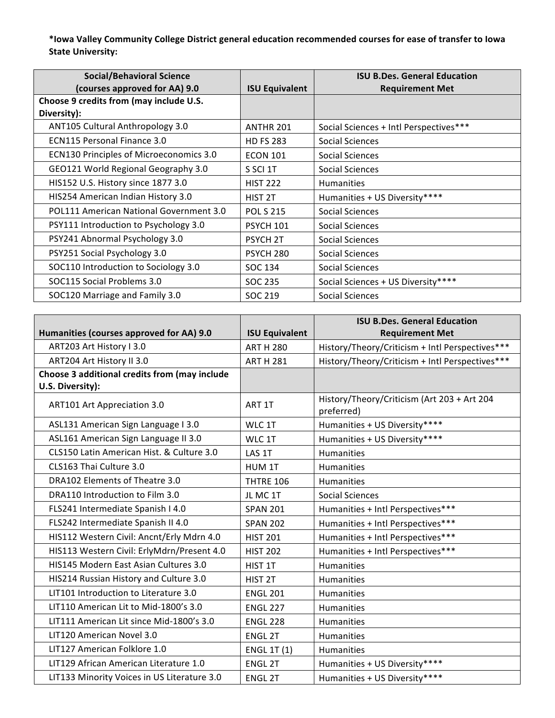**\*Iowa Valley Community College District general education recommended courses for ease of transfer to Iowa**  State University:

| <b>Social/Behavioral Science</b>               |                       | <b>ISU B.Des. General Education</b>    |
|------------------------------------------------|-----------------------|----------------------------------------|
| (courses approved for AA) 9.0                  | <b>ISU Equivalent</b> | <b>Requirement Met</b>                 |
| Choose 9 credits from (may include U.S.        |                       |                                        |
| Diversity):                                    |                       |                                        |
| ANT105 Cultural Anthropology 3.0               | ANTHR 201             | Social Sciences + Intl Perspectives*** |
| <b>ECN115 Personal Finance 3.0</b>             | <b>HD FS 283</b>      | Social Sciences                        |
| <b>ECN130 Principles of Microeconomics 3.0</b> | <b>ECON 101</b>       | Social Sciences                        |
| GEO121 World Regional Geography 3.0            | S SCI 1T              | Social Sciences                        |
| HIS152 U.S. History since 1877 3.0             | <b>HIST 222</b>       | <b>Humanities</b>                      |
| HIS254 American Indian History 3.0             | HIST <sub>2T</sub>    | Humanities + US Diversity****          |
| POL111 American National Government 3.0        | <b>POL S 215</b>      | Social Sciences                        |
| PSY111 Introduction to Psychology 3.0          | <b>PSYCH 101</b>      | <b>Social Sciences</b>                 |
| PSY241 Abnormal Psychology 3.0                 | <b>PSYCH 2T</b>       | Social Sciences                        |
| PSY251 Social Psychology 3.0                   | <b>PSYCH 280</b>      | Social Sciences                        |
| SOC110 Introduction to Sociology 3.0           | SOC 134               | <b>Social Sciences</b>                 |
| SOC115 Social Problems 3.0                     | SOC 235               | Social Sciences + US Diversity****     |
| SOC120 Marriage and Family 3.0                 | SOC 219               | Social Sciences                        |

|                                               |                       | <b>ISU B.Des. General Education</b>                       |
|-----------------------------------------------|-----------------------|-----------------------------------------------------------|
| Humanities (courses approved for AA) 9.0      | <b>ISU Equivalent</b> | <b>Requirement Met</b>                                    |
| ART203 Art History I 3.0                      | <b>ART H 280</b>      | History/Theory/Criticism + Intl Perspectives***           |
| ART204 Art History II 3.0                     | <b>ART H 281</b>      | History/Theory/Criticism + Intl Perspectives***           |
| Choose 3 additional credits from (may include |                       |                                                           |
| U.S. Diversity):                              |                       |                                                           |
| ART101 Art Appreciation 3.0                   | ART 1T                | History/Theory/Criticism (Art 203 + Art 204<br>preferred) |
| ASL131 American Sign Language I 3.0           | WLC 1T                | Humanities + US Diversity****                             |
| ASL161 American Sign Language II 3.0          | WLC 1T                | Humanities + US Diversity****                             |
| CLS150 Latin American Hist. & Culture 3.0     | LAS 1T                | <b>Humanities</b>                                         |
| CLS163 Thai Culture 3.0                       | HUM 1T                | <b>Humanities</b>                                         |
| DRA102 Elements of Theatre 3.0                | <b>THTRE 106</b>      | Humanities                                                |
| DRA110 Introduction to Film 3.0               | JL MC 1T              | <b>Social Sciences</b>                                    |
| FLS241 Intermediate Spanish I 4.0             | <b>SPAN 201</b>       | Humanities + Intl Perspectives***                         |
| FLS242 Intermediate Spanish II 4.0            | <b>SPAN 202</b>       | Humanities + Intl Perspectives***                         |
| HIS112 Western Civil: Ancnt/Erly Mdrn 4.0     | <b>HIST 201</b>       | Humanities + Intl Perspectives***                         |
| HIS113 Western Civil: ErlyMdrn/Present 4.0    | <b>HIST 202</b>       | Humanities + Intl Perspectives***                         |
| HIS145 Modern East Asian Cultures 3.0         | HIST 1T               | <b>Humanities</b>                                         |
| HIS214 Russian History and Culture 3.0        | HIST <sub>2T</sub>    | Humanities                                                |
| LIT101 Introduction to Literature 3.0         | <b>ENGL 201</b>       | Humanities                                                |
| LIT110 American Lit to Mid-1800's 3.0         | <b>ENGL 227</b>       | Humanities                                                |
| LIT111 American Lit since Mid-1800's 3.0      | <b>ENGL 228</b>       | <b>Humanities</b>                                         |
| LIT120 American Novel 3.0                     | <b>ENGL 2T</b>        | <b>Humanities</b>                                         |
| LIT127 American Folklore 1.0                  | <b>ENGL 1T (1)</b>    | Humanities                                                |
| LIT129 African American Literature 1.0        | <b>ENGL 2T</b>        | Humanities + US Diversity****                             |
| LIT133 Minority Voices in US Literature 3.0   | <b>ENGL 2T</b>        | Humanities + US Diversity****                             |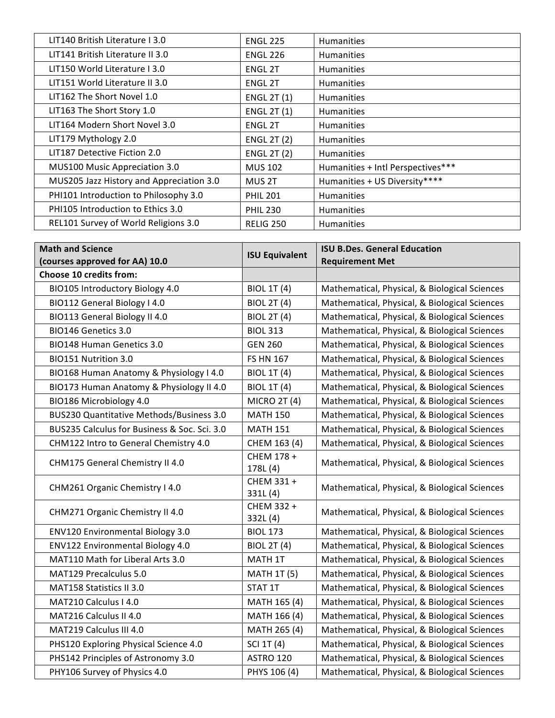| LIT140 British Literature I 3.0          | <b>ENGL 225</b>    | <b>Humanities</b>                 |
|------------------------------------------|--------------------|-----------------------------------|
| LIT141 British Literature II 3.0         | <b>ENGL 226</b>    | <b>Humanities</b>                 |
| LIT150 World Literature L3.0             | <b>ENGL 2T</b>     | <b>Humanities</b>                 |
| LIT151 World Literature II 3.0           | <b>ENGL 2T</b>     | <b>Humanities</b>                 |
| LIT162 The Short Novel 1.0               | <b>ENGL 2T (1)</b> | <b>Humanities</b>                 |
| LIT163 The Short Story 1.0               | <b>ENGL 2T (1)</b> | <b>Humanities</b>                 |
| LIT164 Modern Short Novel 3.0            | <b>ENGL 2T</b>     | <b>Humanities</b>                 |
| LIT179 Mythology 2.0                     | <b>ENGL 2T (2)</b> | <b>Humanities</b>                 |
| LIT187 Detective Fiction 2.0             | <b>ENGL 2T (2)</b> | <b>Humanities</b>                 |
| MUS100 Music Appreciation 3.0            | <b>MUS 102</b>     | Humanities + Intl Perspectives*** |
| MUS205 Jazz History and Appreciation 3.0 | MUS 2T             | Humanities + US Diversity****     |
| PHI101 Introduction to Philosophy 3.0    | <b>PHIL 201</b>    | <b>Humanities</b>                 |
| PHI105 Introduction to Ethics 3.0        | <b>PHIL 230</b>    | <b>Humanities</b>                 |
| REL101 Survey of World Religions 3.0     | <b>RELIG 250</b>   | <b>Humanities</b>                 |

| <b>Math and Science</b>                      | <b>ISU Equivalent</b>  | <b>ISU B.Des. General Education</b>           |
|----------------------------------------------|------------------------|-----------------------------------------------|
| (courses approved for AA) 10.0               |                        | <b>Requirement Met</b>                        |
| Choose 10 credits from:                      |                        |                                               |
| BIO105 Introductory Biology 4.0              | <b>BIOL 1T (4)</b>     | Mathematical, Physical, & Biological Sciences |
| BIO112 General Biology I 4.0                 | <b>BIOL 2T (4)</b>     | Mathematical, Physical, & Biological Sciences |
| BIO113 General Biology II 4.0                | <b>BIOL 2T (4)</b>     | Mathematical, Physical, & Biological Sciences |
| BIO146 Genetics 3.0                          | <b>BIOL 313</b>        | Mathematical, Physical, & Biological Sciences |
| <b>BIO148 Human Genetics 3.0</b>             | <b>GEN 260</b>         | Mathematical, Physical, & Biological Sciences |
| BIO151 Nutrition 3.0                         | <b>FS HN 167</b>       | Mathematical, Physical, & Biological Sciences |
| BIO168 Human Anatomy & Physiology I 4.0      | <b>BIOL 1T (4)</b>     | Mathematical, Physical, & Biological Sciences |
| BIO173 Human Anatomy & Physiology II 4.0     | <b>BIOL 1T (4)</b>     | Mathematical, Physical, & Biological Sciences |
| BIO186 Microbiology 4.0                      | <b>MICRO 2T (4)</b>    | Mathematical, Physical, & Biological Sciences |
| BUS230 Quantitative Methods/Business 3.0     | <b>MATH 150</b>        | Mathematical, Physical, & Biological Sciences |
| BUS235 Calculus for Business & Soc. Sci. 3.0 | <b>MATH 151</b>        | Mathematical, Physical, & Biological Sciences |
| CHM122 Intro to General Chemistry 4.0        | CHEM 163 (4)           | Mathematical, Physical, & Biological Sciences |
| CHM175 General Chemistry II 4.0              | CHEM 178 +<br>178L (4) | Mathematical, Physical, & Biological Sciences |
| CHM261 Organic Chemistry I 4.0               | CHEM 331 +<br>331L(4)  | Mathematical, Physical, & Biological Sciences |
| CHM271 Organic Chemistry II 4.0              | CHEM 332 +<br>332L (4) | Mathematical, Physical, & Biological Sciences |
| ENV120 Environmental Biology 3.0             | <b>BIOL 173</b>        | Mathematical, Physical, & Biological Sciences |
| <b>ENV122 Environmental Biology 4.0</b>      | <b>BIOL 2T (4)</b>     | Mathematical, Physical, & Biological Sciences |
| MAT110 Math for Liberal Arts 3.0             | MATH 1T                | Mathematical, Physical, & Biological Sciences |
| MAT129 Precalculus 5.0                       | <b>MATH 1T (5)</b>     | Mathematical, Physical, & Biological Sciences |
| <b>MAT158 Statistics II 3.0</b>              | STAT 1T                | Mathematical, Physical, & Biological Sciences |
| MAT210 Calculus I 4.0                        | MATH 165 (4)           | Mathematical, Physical, & Biological Sciences |
| MAT216 Calculus II 4.0                       | MATH 166 (4)           | Mathematical, Physical, & Biological Sciences |
| MAT219 Calculus III 4.0                      | MATH 265 (4)           | Mathematical, Physical, & Biological Sciences |
| PHS120 Exploring Physical Science 4.0        | SCI 1T (4)             | Mathematical, Physical, & Biological Sciences |
| PHS142 Principles of Astronomy 3.0           | ASTRO 120              | Mathematical, Physical, & Biological Sciences |
| PHY106 Survey of Physics 4.0                 | PHYS 106 (4)           | Mathematical, Physical, & Biological Sciences |